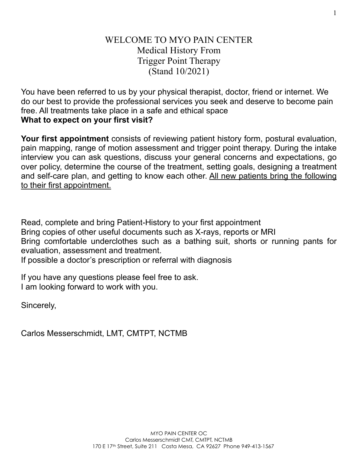# WELCOME TO MYO PAIN CENTER Medical History From Trigger Point Therapy (Stand 10/2021)

You have been referred to us by your physical therapist, doctor, friend or internet. We do our best to provide the professional services you seek and deserve to become pain free. All treatments take place in a safe and ethical space **What to expect on your first visit?** 

**Your first appointment** consists of reviewing patient history form, postural evaluation, pain mapping, range of motion assessment and trigger point therapy. During the intake interview you can ask questions, discuss your general concerns and expectations, go over policy, determine the course of the treatment, setting goals, designing a treatment and self-care plan, and getting to know each other. All new patients bring the following to their first appointment.

Read, complete and bring Patient-History to your first appointment Bring copies of other useful documents such as X-rays, reports or MRI Bring comfortable underclothes such as a bathing suit, shorts or running pants for evaluation, assessment and treatment.

If possible a doctor's prescription or referral with diagnosis

If you have any questions please feel free to ask. I am looking forward to work with you.

Sincerely,

Carlos Messerschmidt, LMT, CMTPT, NCTMB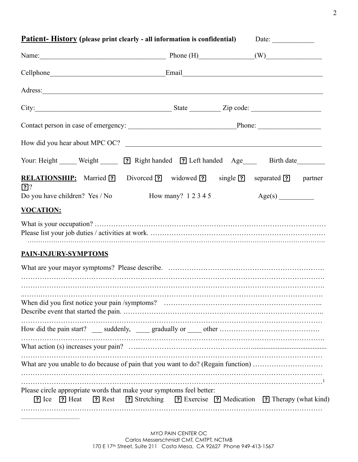| <b>Patient-History</b> (please print clearly - all information is confidential)                                                                                                                                                     | Date: $\qquad \qquad$                                                       |
|-------------------------------------------------------------------------------------------------------------------------------------------------------------------------------------------------------------------------------------|-----------------------------------------------------------------------------|
| Name: $\qquad \qquad$ Phone (H) $\qquad \qquad$ (W)                                                                                                                                                                                 |                                                                             |
|                                                                                                                                                                                                                                     |                                                                             |
| Adress: <u>Note</u> 2008. The second contract of the second contract of the second contract of the second contract of the second contract of the second contract of the second contract of the second contract of the second contra |                                                                             |
| City: City: City: City: City: City: City: City: City: City: City: City: City: City: City: City: City: City: City: City: City: City: City: City: City: City: City: City: City: City: City: City: City: City: City: City: City:       |                                                                             |
|                                                                                                                                                                                                                                     |                                                                             |
| How did you hear about MPC OC?                                                                                                                                                                                                      |                                                                             |
| Your: Height _____ Weight ______ ? Right handed ? Left handed Age _____ Birth date                                                                                                                                                  |                                                                             |
| RELATIONSHIP: Married ? Divorced ? widowed ? single ? separated ? partner<br>$[$ ?                                                                                                                                                  |                                                                             |
| Do you have children? Yes / No How many? 1 2 3 4 5<br><b>VOCATION:</b>                                                                                                                                                              | Age(s)                                                                      |
| <b>PAIN-INJURY-SYMPTOMS</b>                                                                                                                                                                                                         |                                                                             |
|                                                                                                                                                                                                                                     |                                                                             |
|                                                                                                                                                                                                                                     |                                                                             |
|                                                                                                                                                                                                                                     |                                                                             |
|                                                                                                                                                                                                                                     |                                                                             |
| What are you unable to do because of pain that you want to do? (Regain function)                                                                                                                                                    |                                                                             |
|                                                                                                                                                                                                                                     |                                                                             |
| Please circle appropriate words that make your symptoms feel better:<br>$\boxed{?}$ Ice $\boxed{?}$ Heat                                                                                                                            | [?] Rest [?] Stretching [?] Exercise [?] Medication [?] Therapy (what kind) |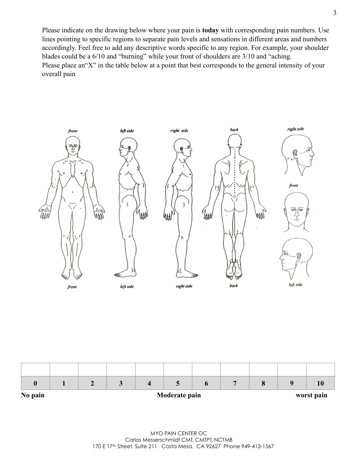Please indicate on the drawing below where your pain is **today** with corresponding pain numbers. Use lines pointing to specific regions to separate pain levels and sensations in different areas and numbers accordingly. Feel free to add any descriptive words specific to any region. For example, your shoulder blades could be a 6/10 and "burning" while your front of shoulders are 3/10 and "aching. Please place an"X" in the table below at a point that best corresponds to the general intensity of your overall pain



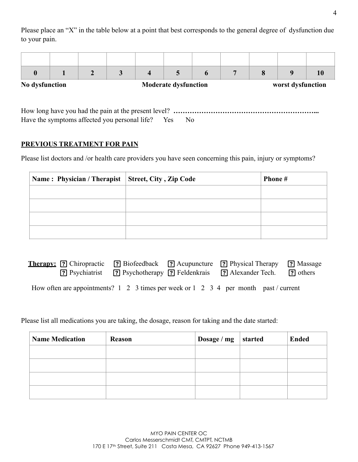Please place an "X" in the table below at a point that best corresponds to the general degree of dysfunction due to your pain.

|                |  | $\boldsymbol{4}$ |                             | 6 | 8 | Q                 | 10 |
|----------------|--|------------------|-----------------------------|---|---|-------------------|----|
| No dysfunction |  |                  | <b>Moderate dysfunction</b> |   |   | worst dysfunction |    |
|                |  |                  |                             |   |   |                   |    |

| Have the symptoms affected you personal life? Yes No |  |  |  |
|------------------------------------------------------|--|--|--|

# **PREVIOUS TREATMENT FOR PAIN**

Please list doctors and /or health care providers you have seen concerning this pain, injury or symptoms?

| Name: Physician / Therapist   Street, City, Zip Code | Phone # |
|------------------------------------------------------|---------|
|                                                      |         |
|                                                      |         |
|                                                      |         |
|                                                      |         |

| Therapy: <b>[?]</b> Chiropractic <b>[?]</b> Biofeedback <b>[?]</b> Acupuncture <b>[?]</b> Physical Therapy <b>[?]</b> Massage |  | [?] Psychotherapy [?] Feldenkrais [?] Alexander Tech. | <b>?</b> others |
|-------------------------------------------------------------------------------------------------------------------------------|--|-------------------------------------------------------|-----------------|
| How often are appointments? 1 2 3 times per week or 1 2 3 4 per month past/current                                            |  |                                                       |                 |

Please list all medications you are taking, the dosage, reason for taking and the date started:

| <b>Name Medication</b> | Reason | Dosage / mg | started | <b>Ended</b> |
|------------------------|--------|-------------|---------|--------------|
|                        |        |             |         |              |
|                        |        |             |         |              |
|                        |        |             |         |              |
|                        |        |             |         |              |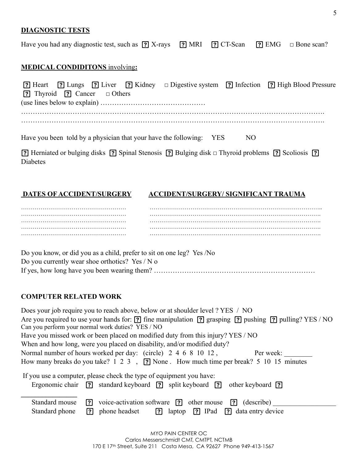#### **DIAGNOSTIC TESTS**

Have you had any diagnostic test, such as  $\boxed{?}$  X-rays  $\boxed{?}$  MRI  $\boxed{?}$  CT-Scan  $\boxed{?}$  EMG  $\Box$  Bone scan?

# **MEDICAL CONDIDITONS** involving**:**

|                                                  |  | [?] Heart [?] Lungs [?] Liver [?] Kidney □ Digestive system [?] Infection [?] High Blood Pressure                                     |     |  |
|--------------------------------------------------|--|---------------------------------------------------------------------------------------------------------------------------------------|-----|--|
| <b>?</b> Thyroid <b>?</b> Cancer <b>D</b> Others |  |                                                                                                                                       |     |  |
|                                                  |  |                                                                                                                                       |     |  |
|                                                  |  |                                                                                                                                       |     |  |
|                                                  |  |                                                                                                                                       |     |  |
|                                                  |  | Have you been told by a physician that your have the following: YES                                                                   | NO. |  |
|                                                  |  | <b>2</b> Herniated or bulging disks <b>2</b> Spinal Steppes <b>2</b> Bulging disk $\Box$ Thyroid problems <b>2</b> Scoliosis <b>2</b> |     |  |

[2] Herniated or bulging disks [2] Spinal Stenosis [2] Bulging disk □ Thyroid problems [2] Scoliosis [2] Diabetes

#### **DATES OF ACCIDENT/SURGERY ACCIDENT/SURGERY/ SIGNIFICANT TRAUMA**

Do you know, or did you as a child, prefer to sit on one leg? Yes /No Do you currently wear shoe orthotics? Yes / N o If yes, how long have you been wearing them? ……………………………………………………………

### **COMPUTER RELATED WORK**

| Does your job require you to reach above, below or at shoulder level ? YES / NO                                |  |
|----------------------------------------------------------------------------------------------------------------|--|
| Are you required to use your hands for: ? fine manipulation ? grasping ? pushing ? pulling? YES / NO           |  |
| Can you perform your normal work duties? YES / NO                                                              |  |
| Have you missed work or been placed on modified duty from this injury? YES / NO                                |  |
| When and how long, were you placed on disability, and/or modified duty?                                        |  |
| Normal number of hours worked per day: (circle) 2 4 6 8 10 12,<br>Per week:                                    |  |
| How many breaks do you take? 1 2 3, ? None. How much time per break? 5 10 15 minutes                           |  |
| If you use a computer, please check the type of equipment you have:                                            |  |
| Ergonomic chair ? standard keyboard ? split keyboard ? other keyboard ?                                        |  |
| voice-activation software $\boxed{?}$ other mouse $\boxed{?}$ (describe)<br>Standard mouse<br>$\overline{[?]}$ |  |
| [?] laptop [?] IPad [?] data entry device<br>phone headset<br>Standard phone<br><u>ि</u>                       |  |
|                                                                                                                |  |

| MYO PAIN CENTER OC                                                               |
|----------------------------------------------------------------------------------|
| Carlos Messerschmidt CMT, CMTPT, NCTMB                                           |
| 170 E 17 <sup>th</sup> Street, Suite 211 Costa Mesa, CA 92627 Phone 949-413-1567 |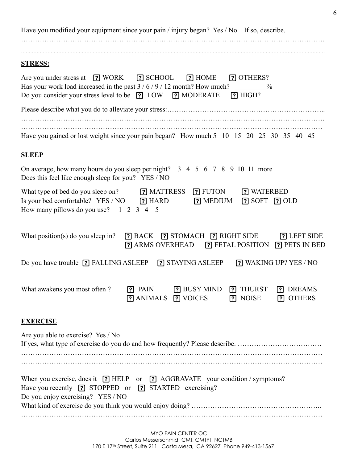Have you modified your equipment since your pain / injury began? Yes / No If so, describe. …………………………………………………………………………………………………………………. …………………………………………………………………………………………………………………………………………………………………………… **STRESS:**  Are you under stress at **3. IN WORK 3. IN SCHOOL <b>3.** HOME **3.** OTHERS? Has your work load increased in the past  $3 / 6 / 9 / 12$  month? How much? Do you consider your stress level to be **3** LOW **3** MODERATE **3** HIGH? Please describe what you do to alleviate your stress:………………………………………………………….. …………………………………………………………………………………………………………………. Have you gained or lost weight since your pain began? How much 5 10 15 20 25 30 35 40 45 **SLEEP**  On average, how many hours do you sleep per night? 3 4 5 6 7 8 9 10 11 more Does this feel like enough sleep for you? YES / NO What type of bed do you sleep on? **3.** MATTRESS **[7]** FUTON **[7]** WATERBED Is your bed comfortable? YES / NO **3** HARD **3** MEDIUM **3** SOFT **3** OLD How many pillows do you use? 1 2 3 4 5 What position(s) do you sleep in? **[?]** BACK **[?]** STOMACH **[?]** RIGHT SIDE **[?]** LEFT SIDE **P** ARMS OVERHEAD **P** FETAL POSITION **P** PETS IN BED Do you have trouble ? FALLING ASLEEP ? STAYING ASLEEP ? WAKING UP? YES / NO What awakens you most often ? **3.** PAIN **3.** BUSY MIND **?** THURST **?** DREAMS **?** ANIMALS **?** VOICES **?** NOISE **?** OTHERS **EXERCISE**  Are you able to exercise? Yes / No If yes, what type of exercise do you do and how frequently? Please describe. ................................. ………………………………………………………………………………………………………………… When you exercise, does it **?** HELP or **?** AGGRAVATE your condition / symptoms? Have you recently **?** STOPPED or **?** STARTED exercising? Do you enjoy exercising? YES / NO What kind of exercise do you think you would enjoy doing? …………………………………………………………

…………………………………………………………………………………………………………………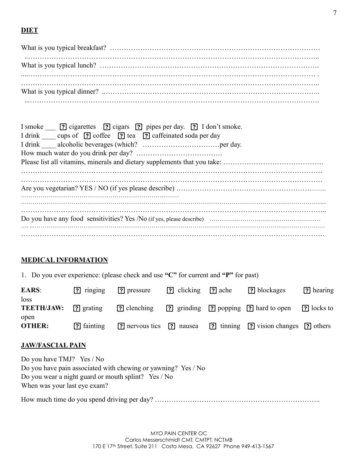# **DIET**

| I smoke <b>?</b> cigarettes <b>?</b> cigars <b>?</b> pipes per day. <b>?</b> I don't smoke. |
|---------------------------------------------------------------------------------------------|
| I drink cups of ? coffee ? tea ? caffeinated soda per day                                   |
|                                                                                             |
|                                                                                             |
|                                                                                             |
|                                                                                             |
|                                                                                             |
|                                                                                             |
|                                                                                             |
|                                                                                             |
|                                                                                             |
|                                                                                             |
|                                                                                             |

# **MEDICAL INFORMATION**

1. Do you ever experience: (please check and use **"C"** for current and **"P"** for past)

| <b>EARS:</b><br>loss  | $[?]$ ringing     | ? pressure                                | <b>P</b> clicking | $\lceil$ ache | [?] blockages                                                  | [?] hearing     |
|-----------------------|-------------------|-------------------------------------------|-------------------|---------------|----------------------------------------------------------------|-----------------|
| <b>TEETH/JAW:</b>     | [?] grating       | ? clenching                               |                   |               | <b>?</b> grinding <b>?</b> popping <b>?</b> hard to open       | $[$ ?] locks to |
| open<br><b>OTHER:</b> | <b>P</b> fainting | <b>[?]</b> nervous tics <b>[?]</b> nausea |                   |               | <b>[?]</b> tinning <b>[?]</b> vision changes <b>[?]</b> others |                 |

# **JAW/FASCIAL PAIN**

| Do you have $TMJ$ ? Yes / No                                  |
|---------------------------------------------------------------|
| Do you have pain associated with chewing or yawning? Yes / No |
| Do you wear a night guard or mouth splint? Yes / No           |
| When was your last eye exam?                                  |
|                                                               |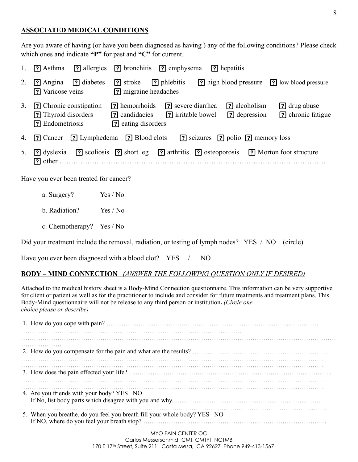### **ASSOCIATED MEDICAL CONDITIONS**

Are you aware of having (or have you been diagnosed as having ) any of the following conditions? Please check which ones and indicate **"P"** for past and **"C"** for current.

| 1. | <b>P</b> Asthma                                                  | [?] allergies [?] bronchitis [?] emphysema<br>[?] hepatitis                                                                                                          |
|----|------------------------------------------------------------------|----------------------------------------------------------------------------------------------------------------------------------------------------------------------|
| 2. | ? diabetes<br>$[$ ?] Angina<br>? Varicose veins                  | ? high blood pressure<br>[?] phlebitis<br>? stroke<br><b>[?]</b> low blood pressure<br>? migraine headaches                                                          |
| 3. | ? Chronic constipation<br>? Thyroid disorders<br>? Endometriosis | ? alcoholism<br>? hemorrhoids<br>? severe diarrhea<br>? drug abuse<br>[?] candidacies [?] irritable bowel<br>? depression<br>? chronic fatigue<br>? eating disorders |
| 4. | <b>[?]</b> Cancer                                                | <b>?</b> Lymphedema <b>?</b> Blood clots<br><b>?</b> seizures <b>?</b> polio <b>?</b> memory loss                                                                    |
| 5. | <b>?</b> dyslexia                                                | [?] scoliosis [?] short leg [?] arthritis [?] osteoporosis [?] Morton foot structure                                                                                 |

Have you ever been treated for cancer?

- a. Surgery? Yes / No
- b. Radiation? Yes / No
- c. Chemotherapy? Yes / No

Did your treatment include the removal, radiation, or testing of lymph nodes? YES / NO (circle)

Have you ever been diagnosed with a blood clot? YES / NO

#### **BODY – MIND CONNECTION** *(ANSWER THE FOLLOWING QUESTION ONLY IF DESIRED)*

Attached to the medical history sheet is a Body-Mind Connection questionnaire. This information can be very supportive for client or patient as well as for the practitioner to include and consider for future treatments and treatment plans. This Body-Mind questionnaire will not be release to any third person or institution**.** *(Circle one choice please or describe)*

| 4. Are you friends with your body? YES NO                                |
|--------------------------------------------------------------------------|
| 5. When you breathe, do you feel you breath fill your whole body? YES NO |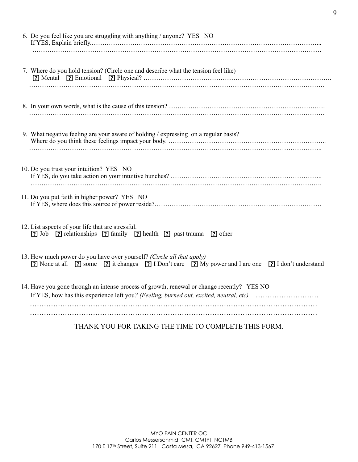| 6. Do you feel like you are struggling with anything / anyone? YES NO                                                                                                                |
|--------------------------------------------------------------------------------------------------------------------------------------------------------------------------------------|
| 7. Where do you hold tension? (Circle one and describe what the tension feel like)                                                                                                   |
|                                                                                                                                                                                      |
| 9. What negative feeling are your aware of holding / expressing on a regular basis?                                                                                                  |
| 10. Do you trust your intuition? YES NO                                                                                                                                              |
| 11. Do you put faith in higher power? YES NO                                                                                                                                         |
| 12. List aspects of your life that are stressful.<br>[?] Job [?] relationships [?] family [?] health [?] past trauma [?] other                                                       |
| 13. How much power do you have over yourself? (Circle all that apply)<br>[?] None at all [?] some [?] it changes [?] I Don't care [?] My power and I are one [?] I don't understand  |
| 14. Have you gone through an intense process of growth, renewal or change recently? YES NO<br>If YES, how has this experience left you? (Feeling, burned out, excited, neutral, etc) |
|                                                                                                                                                                                      |

THANK YOU FOR TAKING THE TIME TO COMPLETE THIS FORM.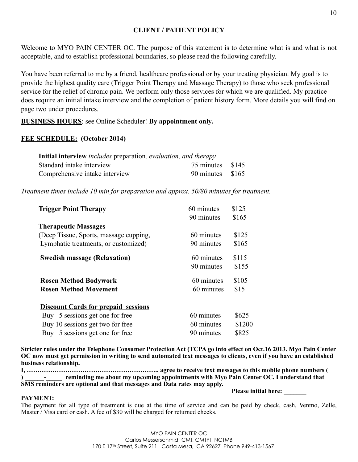### **CLIENT / PATIENT POLICY**

Welcome to MYO PAIN CENTER OC. The purpose of this statement is to determine what is and what is not acceptable, and to establish professional boundaries, so please read the following carefully.

You have been referred to me by a friend, healthcare professional or by your treating physician. My goal is to provide the highest quality care (Trigger Point Therapy and Massage Therapy) to those who seek professional service for the relief of chronic pain. We perform only those services for which we are qualified. My practice does require an initial intake interview and the completion of patient history form. More details you will find on page two under procedures.

**BUSINESS HOURS**: see Online Scheduler! **By appointment only.**

#### **FEE SCHEDULE: (October 2014)**

| Initial interview <i>includes</i> preparation, evaluation, and therapy |                  |  |
|------------------------------------------------------------------------|------------------|--|
| Standard intake interview                                              | 75 minutes \$145 |  |
| Comprehensive intake interview                                         | 90 minutes \$165 |  |

*Treatment times include 10 min for preparation and approx. 50/80 minutes for treatment.* 

| <b>Trigger Point Therapy</b>               | 60 minutes | \$125  |
|--------------------------------------------|------------|--------|
|                                            | 90 minutes | \$165  |
| <b>Therapeutic Massages</b>                |            |        |
| (Deep Tissue, Sports, massage cupping,     | 60 minutes | \$125  |
| Lymphatic treatments, or customized)       | 90 minutes | \$165  |
| <b>Swedish massage (Relaxation)</b>        | 60 minutes | \$115  |
|                                            | 90 minutes | \$155  |
| <b>Rosen Method Bodywork</b>               | 60 minutes | \$105  |
| <b>Rosen Method Movement</b>               | 60 minutes | \$15   |
| <b>Discount Cards for prepaid sessions</b> |            |        |
| Buy 5 sessions get one for free            | 60 minutes | \$625  |
| Buy 10 sessions get two for free           | 60 minutes | \$1200 |
| Buy 5 sessions get one for free            | 90 minutes | \$825  |
|                                            |            |        |

**Stricter rules under the Telephone Consumer Protection Act (TCPA go into effect on Oct.16 2013. Myo Pain Center OC now must get permission in writing to send automated text messages to clients, even if you have an established business relationship.** 

**I, …………………………………………………….. agree to receive text messages to this mobile phone numbers ( ) \_\_\_\_\_\_-\_\_\_\_\_ reminding me about my upcoming appointments with Myo Pain Center OC. I understand that SMS reminders are optional and that messages and Data rates may apply.** 

#### **PAYMENT:**

 **Please initial here: \_\_\_\_\_\_\_**

The payment for all type of treatment is due at the time of service and can be paid by check, cash, Venmo, Zelle, Master / Visa card or cash. A fee of \$30 will be charged for returned checks.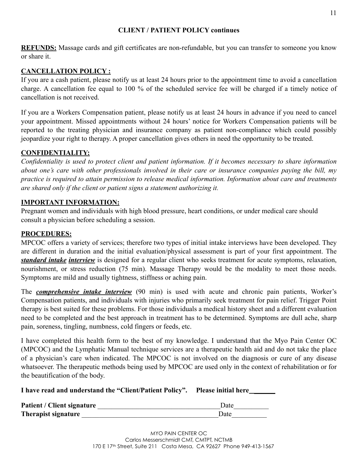#### **CLIENT / PATIENT POLICY continues**

**REFUNDS:** Massage cards and gift certificates are non-refundable, but you can transfer to someone you know or share it.

# **CANCELLATION POLICY :**

If you are a cash patient, please notify us at least 24 hours prior to the appointment time to avoid a cancellation charge. A cancellation fee equal to 100 % of the scheduled service fee will be charged if a timely notice of cancellation is not received.

If you are a Workers Compensation patient, please notify us at least 24 hours in advance if you need to cancel your appointment. Missed appointments without 24 hours' notice for Workers Compensation patients will be reported to the treating physician and insurance company as patient non-compliance which could possibly jeopardize your right to therapy. A proper cancellation gives others in need the opportunity to be treated.

# **CONFIDENTIALITY:**

*Confidentiality is used to protect client and patient information. If it becomes necessary to share information about one's care with other professionals involved in their care or insurance companies paying the bill, my practice is required to attain permission to release medical information. Information about care and treatments are shared only if the client or patient signs a statement authorizing it.* 

# **IMPORTANT INFORMATION:**

Pregnant women and individuals with high blood pressure, heart conditions, or under medical care should consult a physician before scheduling a session.

### **PROCEDURES:**

MPCOC offers a variety of services; therefore two types of initial intake interviews have been developed. They are different in duration and the initial evaluation/physical assessment is part of your first appointment. The *standard intake interview* is designed for a regular client who seeks treatment for acute symptoms, relaxation, nourishment, or stress reduction (75 min). Massage Therapy would be the modality to meet those needs. Symptoms are mild and usually tightness, stiffness or aching pain.

The *comprehensive intake interview* (90 min) is used with acute and chronic pain patients, Worker's Compensation patients, and individuals with injuries who primarily seek treatment for pain relief. Trigger Point therapy is best suited for these problems. For those individuals a medical history sheet and a different evaluation need to be completed and the best approach in treatment has to be determined. Symptoms are dull ache, sharp pain, soreness, tingling, numbness, cold fingers or feeds, etc.

I have completed this health form to the best of my knowledge. I understand that the Myo Pain Center OC (MPCOC) and the Lymphatic Manual technique services are a therapeutic health aid and do not take the place of a physician's care when indicated. The MPCOC is not involved on the diagnosis or cure of any disease whatsoever. The therapeutic methods being used by MPCOC are used only in the context of rehabilitation or for the beautification of the body.

**I have read and understand the "Client/Patient Policy".** Please initial here\_\_\_\_\_

| Patient / Client signature | Date |
|----------------------------|------|
| <b>Therapist signature</b> | Date |